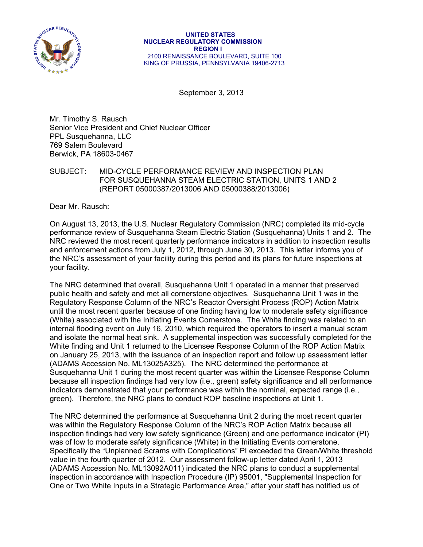

September 3, 2013

Mr. Timothy S. Rausch Senior Vice President and Chief Nuclear Officer PPL Susquehanna, LLC 769 Salem Boulevard Berwick, PA 18603-0467

### SUBJECT: MID-CYCLE PERFORMANCE REVIEW AND INSPECTION PLAN FOR SUSQUEHANNA STEAM ELECTRIC STATION, UNlTS 1 AND 2 (REPORT 05000387/2013006 AND 05000388/2013006)

Dear Mr. Rausch:

On August 13, 2013, the U.S. Nuclear Regulatory Commission (NRC) completed its mid-cycle performance review of Susquehanna Steam Electric Station (Susquehanna) Units 1 and 2. The NRC reviewed the most recent quarterly performance indicators in addition to inspection results and enforcement actions from July 1, 2012, through June 30, 2013. This letter informs you of the NRC's assessment of your facility during this period and its plans for future inspections at your facility.

The NRC determined that overall, Susquehanna Unit 1 operated in a manner that preserved public health and safety and met all cornerstone objectives. Susquehanna Unit 1 was in the Regulatory Response Column of the NRC's Reactor Oversight Process (ROP) Action Matrix until the most recent quarter because of one finding having low to moderate safety significance (White) associated with the Initiating Events Cornerstone. The White finding was related to an internal flooding event on July 16, 2010, which required the operators to insert a manual scram and isolate the normal heat sink. A supplemental inspection was successfully completed for the White finding and Unit 1 returned to the Licensee Response Column of the ROP Action Matrix on January 25, 2013, with the issuance of an inspection report and follow up assessment letter (ADAMS Accession No. ML13025A325). The NRC determined the performance at Susquehanna Unit 1 during the most recent quarter was within the Licensee Response Column because all inspection findings had very low (i.e., green) safety significance and all performance indicators demonstrated that your performance was within the nominal, expected range (i.e., green). Therefore, the NRC plans to conduct ROP baseline inspections at Unit 1.

The NRC determined the performance at Susquehanna Unit 2 during the most recent quarter was within the Regulatory Response Column of the NRC's ROP Action Matrix because all inspection findings had very low safety significance (Green) and one performance indicator (PI) was of low to moderate safety significance (White) in the Initiating Events cornerstone. Specifically the "Unplanned Scrams with Complications" PI exceeded the Green/White threshold value in the fourth quarter of 2012. Our assessment follow-up letter dated April 1, 2013 (ADAMS Accession No. ML13092A011) indicated the NRC plans to conduct a supplemental inspection in accordance with Inspection Procedure (IP) 95001, "Supplemental Inspection for One or Two White Inputs in a Strategic Performance Area," after your staff has notified us of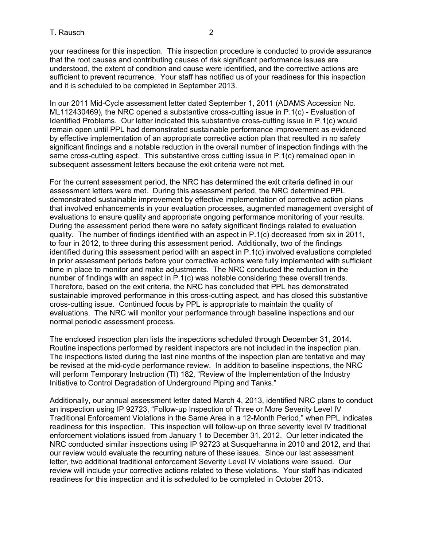your readiness for this inspection. This inspection procedure is conducted to provide assurance that the root causes and contributing causes of risk significant performance issues are understood, the extent of condition and cause were identified, and the corrective actions are sufficient to prevent recurrence. Your staff has notified us of your readiness for this inspection and it is scheduled to be completed in September 2013.

In our 2011 Mid-Cycle assessment letter dated September 1, 2011 (ADAMS Accession No. ML112430469), the NRC opened a substantive cross-cutting issue in P.1(c) - Evaluation of Identified Problems. Our letter indicated this substantive cross-cutting issue in P.1(c) would remain open until PPL had demonstrated sustainable performance improvement as evidenced by effective implementation of an appropriate corrective action plan that resulted in no safety significant findings and a notable reduction in the overall number of inspection findings with the same cross-cutting aspect. This substantive cross cutting issue in P.1(c) remained open in subsequent assessment letters because the exit criteria were not met.

For the current assessment period, the NRC has determined the exit criteria defined in our assessment letters were met. During this assessment period, the NRC determined PPL demonstrated sustainable improvement by effective implementation of corrective action plans that involved enhancements in your evaluation processes, augmented management oversight of evaluations to ensure quality and appropriate ongoing performance monitoring of your results. During the assessment period there were no safety significant findings related to evaluation quality. The number of findings identified with an aspect in P.1(c) decreased from six in 2011, to four in 2012, to three during this assessment period. Additionally, two of the findings identified during this assessment period with an aspect in P.1(c) involved evaluations completed in prior assessment periods before your corrective actions were fully implemented with sufficient time in place to monitor and make adjustments. The NRC concluded the reduction in the number of findings with an aspect in P.1(c) was notable considering these overall trends. Therefore, based on the exit criteria, the NRC has concluded that PPL has demonstrated sustainable improved performance in this cross-cutting aspect, and has closed this substantive cross-cutting issue. Continued focus by PPL is appropriate to maintain the quality of evaluations. The NRC will monitor your performance through baseline inspections and our normal periodic assessment process.

The enclosed inspection plan lists the inspections scheduled through December 31, 2014. Routine inspections performed by resident inspectors are not included in the inspection plan. The inspections listed during the last nine months of the inspection plan are tentative and may be revised at the mid-cycle performance review. In addition to baseline inspections, the NRC will perform Temporary Instruction (TI) 182, "Review of the Implementation of the Industry Initiative to Control Degradation of Underground Piping and Tanks."

Additionally, our annual assessment letter dated March 4, 2013, identified NRC plans to conduct an inspection using IP 92723, "Follow-up Inspection of Three or More Severity Level IV Traditional Enforcement Violations in the Same Area in a 12-Month Period," when PPL indicates readiness for this inspection. This inspection will follow-up on three severity level IV traditional enforcement violations issued from January 1 to December 31, 2012. Our letter indicated the NRC conducted similar inspections using IP 92723 at Susquehanna in 2010 and 2012, and that our review would evaluate the recurring nature of these issues. Since our last assessment letter, two additional traditional enforcement Severity Level IV violations were issued. Our review will include your corrective actions related to these violations. Your staff has indicated readiness for this inspection and it is scheduled to be completed in October 2013.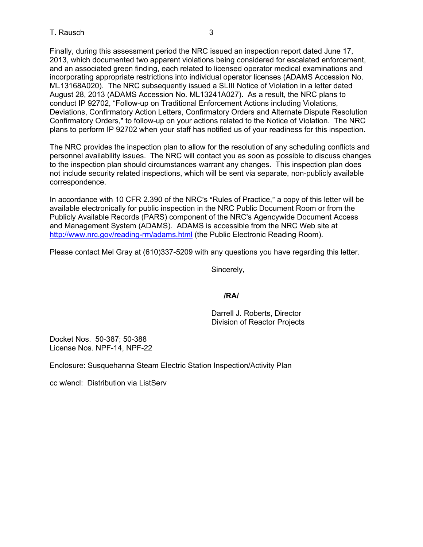Finally, during this assessment period the NRC issued an inspection report dated June 17, 2013, which documented two apparent violations being considered for escalated enforcement, and an associated green finding, each related to licensed operator medical examinations and incorporating appropriate restrictions into individual operator licenses (ADAMS Accession No. ML13168A020). The NRC subsequently issued a SLIII Notice of Violation in a letter dated August 28, 2013 (ADAMS Accession No. ML13241A027). As a result, the NRC plans to conduct IP 92702, "Follow-up on Traditional Enforcement Actions including Violations, Deviations, Confirmatory Action Letters, Confirmatory Orders and Alternate Dispute Resolution Confirmatory Orders," to follow-up on your actions related to the Notice of Violation. The NRC plans to perform IP 92702 when your staff has notified us of your readiness for this inspection.

The NRC provides the inspection plan to allow for the resolution of any scheduling conflicts and personnel availability issues. The NRC will contact you as soon as possible to discuss changes to the inspection plan should circumstances warrant any changes. This inspection plan does not include security related inspections, which will be sent via separate, non-publicly available correspondence.

In accordance with 10 CFR 2.390 of the NRC's "Rules of Practice," a copy of this letter will be available electronically for public inspection in the NRC Public Document Room or from the Publicly Available Records (PARS) component of the NRC's Agencywide Document Access and Management System (ADAMS). ADAMS is accessible from the NRC Web site at http://www.nrc.gov/reading-rm/adams.html (the Public Electronic Reading Room).

Please contact Mel Gray at (610)337-5209 with any questions you have regarding this letter.

Sincerely,

#### *<i>/RA/*  $\sqrt{R}$ /RA/

Darrell J. Roberts, Director Division of Reactor Projects

Docket Nos. 50-387; 50-388 License Nos. NPF-14, NPF-22

Enclosure: Susquehanna Steam Electric Station Inspection/Activity Plan

cc w/encl: Distribution via ListServ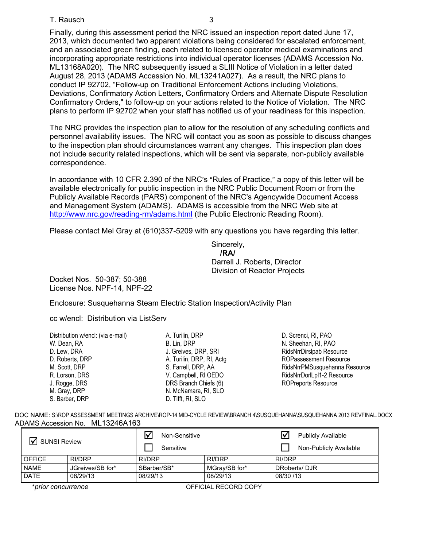#### T. Rausch 3

Finally, during this assessment period the NRC issued an inspection report dated June 17, 2013, which documented two apparent violations being considered for escalated enforcement, and an associated green finding, each related to licensed operator medical examinations and incorporating appropriate restrictions into individual operator licenses (ADAMS Accession No. ML13168A020). The NRC subsequently issued a SLIII Notice of Violation in a letter dated August 28, 2013 (ADAMS Accession No. ML13241A027). As a result, the NRC plans to conduct IP 92702, "Follow-up on Traditional Enforcement Actions including Violations, Deviations, Confirmatory Action Letters, Confirmatory Orders and Alternate Dispute Resolution Confirmatory Orders," to follow-up on your actions related to the Notice of Violation. The NRC plans to perform IP 92702 when your staff has notified us of your readiness for this inspection.

The NRC provides the inspection plan to allow for the resolution of any scheduling conflicts and personnel availability issues. The NRC will contact you as soon as possible to discuss changes to the inspection plan should circumstances warrant any changes. This inspection plan does not include security related inspections, which will be sent via separate, non-publicly available correspondence.

In accordance with 10 CFR 2.390 of the NRC's "Rules of Practice," a copy of this letter will be available electronically for public inspection in the NRC Public Document Room or from the Publicly Available Records (PARS) component of the NRC's Agencywide Document Access and Management System (ADAMS). ADAMS is accessible from the NRC Web site at http://www.nrc.gov/reading-rm/adams.html (the Public Electronic Reading Room).

Please contact Mel Gray at (610)337-5209 with any questions you have regarding this letter.

Sincerely, **/RA/**  Darrell J. Roberts, Director Division of Reactor Projects

Docket Nos. 50-387; 50-388 License Nos. NPF-14, NPF-22

Enclosure: Susquehanna Steam Electric Station Inspection/Activity Plan

cc w/encl: Distribution via ListServ

| Distribution w/encl: (via e-mail) | A. Turilin, DRP           |
|-----------------------------------|---------------------------|
| W. Dean, RA                       | B. Lin, DRP               |
| D. Lew, DRA                       | J. Greives, DRP, SRI      |
| D. Roberts, DRP                   | A. Turilin, DRP, RI, Actg |
| M. Scott, DRP                     | S. Farrell, DRP, AA       |
| R. Lorson, DRS                    | V. Campbell, RI OEDO      |
| J. Rogge, DRS                     | DRS Branch Chiefs (6)     |
| M. Gray, DRP                      | N. McNamara, RI, SLO      |
| S. Barber, DRP                    | D. Tifft, RI, SLO         |
|                                   |                           |

D. Screnci, RI, PAO N. Sheehan, RI, PAO RidsNrrDirslpab Resource ROPassessment Resource RidsNrrPMSusquehanna Resource RidsNrrDorlLpl1-2 Resource ROPreports Resource

DOC NAME: S:\ROP ASSESSMENT MEETINGS ARCHIVE\ROP-14 MID-CYCLE REVIEW\BRANCH 4\SUSQUEHANNA\SUSQUEHANNA 2013 REVFINAL.DOCX ADAMS Accession No. ML13246A163

| <b>SUNSI Review</b> |                  | Non-Sensitive<br>lν<br>Sensitive |               | <b>Publicly Available</b><br>Non-Publicly Available |  |
|---------------------|------------------|----------------------------------|---------------|-----------------------------------------------------|--|
| <b>OFFICE</b>       | RI/DRP           | <b>RI/DRP</b>                    | RI/DRP        | RI/DRP                                              |  |
| <b>NAME</b>         | JGreives/SB for* | SBarber/SB*                      | MGray/SB for* | DRoberts/DJR                                        |  |
| <b>DATE</b>         | 08/29/13         | 08/29/13                         | 08/29/13      | 08/30 /13                                           |  |

\*prior concurrence **by a contract of the COPY** OFFICIAL RECORD COPY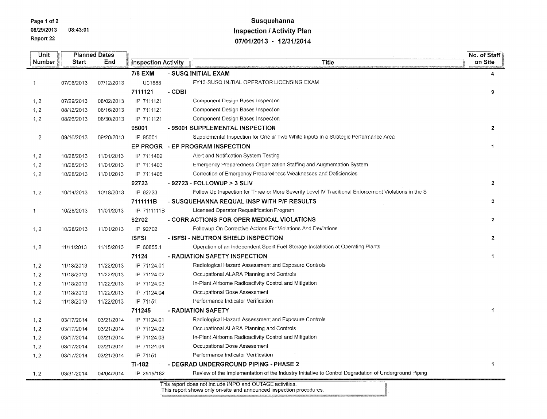Page 1 of 2

08/29/2013 08:43:01 Report 22

# Susquehanna **Inspection / Activity Plan** 07/01/2013 - 12/31/2014

| Unit           |            | <b>Planned Dates</b> |                            |        |                                                                                                      | No. of Staff         |
|----------------|------------|----------------------|----------------------------|--------|------------------------------------------------------------------------------------------------------|----------------------|
| Number         | Start      | End                  | <b>Inspection Activity</b> |        | <b>Title</b>                                                                                         | on Site              |
|                |            |                      | <b>7/8 EXM</b>             |        | - SUSQ INITIAL EXAM                                                                                  | 4                    |
| $\mathbf{1}$   | 07/08/2013 | 07/12/2013           | U01868                     |        | FY13-SUSQ INITIAL OPERATOR LICENSING EXAM                                                            |                      |
|                |            |                      | 7111121                    | - CDBI |                                                                                                      | 9                    |
| 1, 2           | 07/29/2013 | 08/02/2013           | IP 7111121                 |        | Component Design Bases Inspection                                                                    |                      |
| 1, 2           | 08/12/2013 | 08/16/2013           | IP 7111121                 |        | Component Design Bases Inspection                                                                    |                      |
| 1, 2           | 08/26/2013 | 08/30/2013           | IP 7111121                 |        | Component Design Bases Inspection                                                                    |                      |
|                |            |                      | 95001                      |        | - 95001 SUPPLEMENTAL INSPECTION                                                                      | $\mathbf{2}$         |
| $\overline{c}$ | 09/16/2013 | 09/20/2013           | IP 95001                   |        | Supplemental Inspection for One or Two White Inputs in a Strategic Performance Area                  |                      |
|                |            |                      |                            |        | EP PROGR - EP PROGRAM INSPECTION                                                                     | 1.                   |
| 1, 2           | 10/28/2013 | 11/01/2013           | IP 7111402                 |        | Alert and Notification System Testing                                                                |                      |
| 1, 2           | 10/28/2013 | 11/01/2013           | IP 7111403                 |        | Emergency Preparedness Organization Staffing and Augmentation System                                 |                      |
| 1, 2           | 10/28/2013 | 11/01/2013           | IP 7111405                 |        | Correction of Emergency Preparedness Weaknesses and Deficiencies                                     |                      |
|                |            |                      | 92723                      |        | - 92723 - FOLLOWUP > 3 SLIV                                                                          | $\overline{2}$       |
| 1, 2           | 10/14/2013 | 10/18/2013           | IP 92723                   |        | Follow Up Inspection for Three or More Severity Level IV Traditional Enforcement Violations in the S |                      |
|                |            |                      | 7111111B                   |        | - SUSQUEHANNA REQUAL INSP WITH P/F RESULTS                                                           | $\mathbf{2}$         |
| 1              | 10/28/2013 | 11/01/2013           | IP 7111111B                |        | Licensed Operator Requalification Program                                                            |                      |
|                |            |                      | 92702                      |        | - CORR ACTIONS FOR OPER MEDICAL VIOLATIONS                                                           | $\overline{2}$       |
| 1, 2           | 10/28/2013 | 11/01/2013           | IP 92702                   |        | Followup On Corrective Actions For Violations And Deviations                                         |                      |
|                |            |                      | <b>ISFSI</b>               |        | - ISFSI - NEUTRON SHIELD INSPECTION                                                                  | $\overline{2}$       |
| 1, 2           | 11/11/2013 | 11/15/2013           | IP 60855.1                 |        | Operation of an Independent Spent Fuel Storage Installation at Operating Plants                      |                      |
|                |            |                      | 71124                      |        | - RADIATION SAFETY INSPECTION                                                                        | $\blacktriangleleft$ |
| 1, 2           | 11/18/2013 | 11/22/2013           | IP 71124.01                |        | Radiological Hazard Assessment and Exposure Controls                                                 |                      |
| 1, 2           | 11/18/2013 | 11/22/2013           | IP 71124.02                |        | Occupational ALARA Planning and Controls                                                             |                      |
| 1, 2           | 11/18/2013 | 11/22/2013           | IP 71124.03                |        | In-Plant Airborne Radioactivity Control and Mitigation                                               |                      |
| 1, 2           | 11/18/2013 | 11/22/2013           | IP 71124.04                |        | Occupational Dose Assessment                                                                         |                      |
| 1, 2           | 11/18/2013 | 11/22/2013           | IP 71151                   |        | Performance Indicator Verification                                                                   |                      |
|                |            |                      | 711245                     |        | - RADIATION SAFETY                                                                                   | $\mathbf{1}$         |
| 1, 2           | 03/17/2014 | 03/21/2014           | IP 71124.01                |        | Radiological Hazard Assessment and Exposure Controls                                                 |                      |
| 1, 2           | 03/17/2014 | 03/21/2014           | IP 71124.02                |        | Occupational ALARA Planning and Controls                                                             |                      |
| 1, 2           | 03/17/2014 | 03/21/2014           | IP 71124.03                |        | In-Plant Airborne Radioactivity Control and Mitigation                                               |                      |
| 1, 2           | 03/17/2014 | 03/21/2014           | IP 71124.04                |        | Occupational Dose Assessment                                                                         |                      |
| 1, 2           | 03/17/2014 | 03/21/2014           | IP 71151                   |        | Performance Indicator Verification                                                                   |                      |
|                |            |                      | TI-182                     |        | - DEGRAD UNDERGROUND PIPING - PHASE 2                                                                | 1                    |
| 1, 2           | 03/31/2014 | 04/04/2014           | IP 2515/182                |        | Review of the Implementation of the Industry Initiative to Control Degradation of Underground Piping |                      |

This report does not include INPO and OUTAGE activities.

This report shows only on-site and announced inspection procedures. .<br>Kabupatèn Kabupatèn Kabupatèn Jawa Kabupatèn Jawa Kabupatèn Jawa Kabupatèn Kabupatèn Jawa Kabupatèn Jawa Kabup